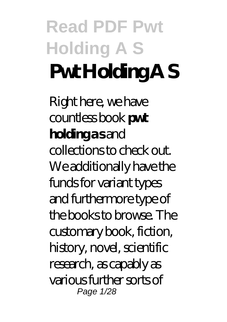# **Read PDF Pwt Holding A S Pwt Holding A S**

Right here, we have countless book **pwt holding a s** and collections to check out. We additionally have the funds for variant types and furthermore type of the books to browse. The customary book, fiction, history, novel, scientific research, as capably as various further sorts of Page 1/28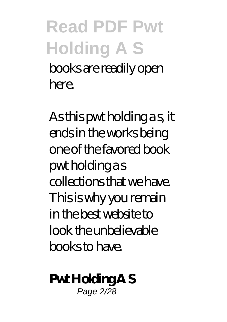### **Read PDF Pwt Holding A S** books are readily open here.

As this pwt holding as, it ends in the works being one of the favored book pwt holding a s collections that we have. This is why you remain in the best website to look the unbelievable books to have.

**Pwt Holding A S** Page 2/28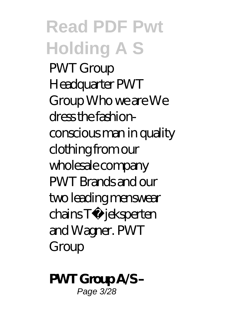#### **Read PDF Pwt Holding A S** PWT Group Headquarter PWT Group Who we are We dress the fashionconscious man in quality clothing from our wholesale company PWT Brands and our two leading menswear chains Tøjeksperten and Wagner. PWT Group

**PWT Group A/S –** Page 3/28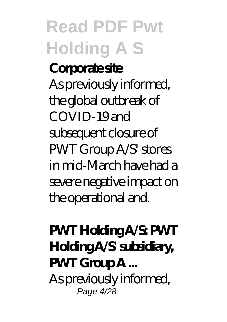#### **Read PDF Pwt Holding A S Corporate site** As previously informed, the global outbreak of COVID-19 and subsequent closure of PWT Group A/S' stores in mid-March have had a severe negative impact on the operational and.

**PWT Holding A/S: PWT Holding A/S' subsidiary, PWT Group A ...** As previously informed, Page 4/28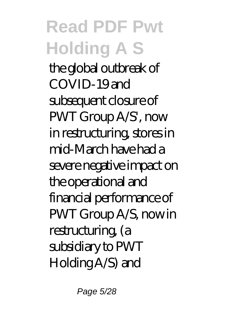the global outbreak of COVID-19 and subsequent closure of PWT Group A/S', now in restructuring, stores in mid-March have had a severe negative impact on the operational and financial performance of PWT Group A/S, now in restructuring, (a subsidiary to PWT Holding A/S) and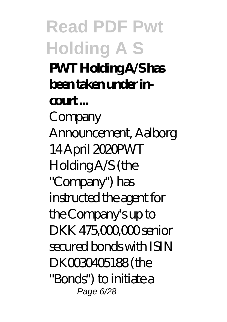**Read PDF Pwt Holding A S PWT Holding A/S has been taken under incourt ...** Company Announcement, Aalborg 14 April 2020PWT Holding A/S (the "Company") has instructed the agent for the Company's up to DKK 475,000,000 senior secured bonds with ISIN DK0030405188 (the "Bonds") to initiate a Page 6/28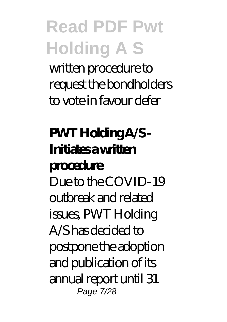written procedure to request the bondholders to vote in favour defer

#### **PWT Holding A/S - Initiates a written procedure** Due to the COVID-19 outbreak and related issues, PWT Holding A/S has decided to postpone the adoption and publication of its annual report until 31 Page 7/28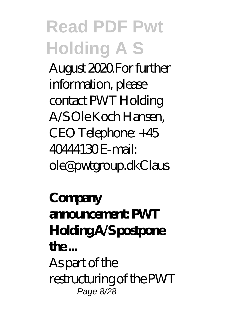August 2020.For further information, please contact PWT Holding A/S Ole Koch Hansen, CEO Telephone: +45 40444130 E-mail: ole@pwtgroup.dkClaus

**Company announcement: PWT Holding A/S postpone the ...** As part of the restructuring of the PWT Page 8/28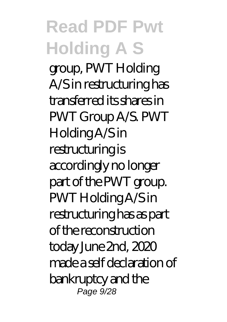group, PWT Holding A/S in restructuring has transferred its shares in PWT Group A/S. PWT Holding A/S in restructuring is accordingly no longer part of the PWT group. PWT Holding A/S in restructuring has as part of the reconstruction today June 2nd, 2020 made a self declaration of bankruptcy and the Page 9/28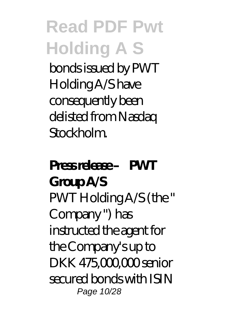bonds issued by PWT Holding A/S have consequently been delisted from Nasdaq Stockholm.

#### Press release – PWT **Group A/S** PWT Holding A/S (the " Company ") has instructed the agent for the Company's up to DKK 475,000,000 senior secured bonds with ISIN Page 10/28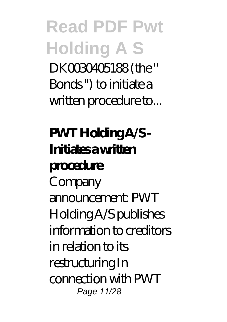**Read PDF Pwt Holding A S** DK0030405188 (the " Bonds ") to initiate a written procedure to...

**PWT Holding A/S - Initiates a written procedure** Company announcement: PWT Holding A/S publishes information to creditors in relation to its restructuring In connection with PWT Page 11/28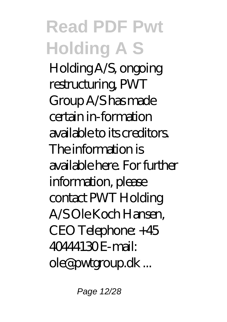Holding A/S, ongoing restructuring, PWT Group A/S has made certain in-formation available to its creditors. The information is available here. For further information, please contact PWT Holding A/S Ole Koch Hansen, CEO Telephone: +45 40444130 E-mail: ole@pwtgroup.dk ...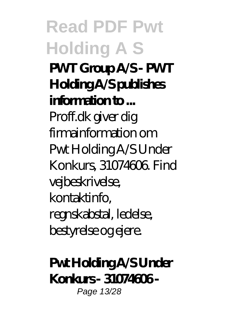**Read PDF Pwt Holding A S PWT Group A/S - PWT Holding A/S publishes information to ...** Proff.dk giver dig firmainformation om Pwt Holding A/S Under Konkurs, 31074606. Find vejbeskrivelse, kontaktinfo, regnskabstal, ledelse, bestyrelse og ejere.

**Pwt Holding A/S Under Konkurs - 31074606 -** Page 13/28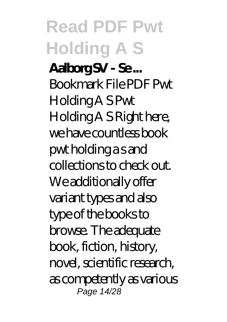**Aalborg SV - Se ...** Bookmark File PDF Pwt Holding A S Pwt Holding A S Right here, we have countless book pwt holding a s and collections to check out. We additionally offer variant types and also type of the books to browse. The adequate book, fiction, history, novel, scientific research, as competently as various Page 14/28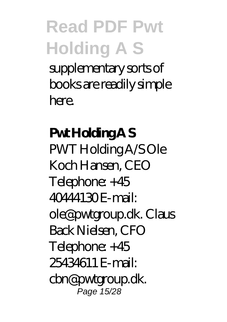#### **Read PDF Pwt Holding A S** supplementary sorts of books are readily simple here.

**Pwt Holding A S** PWT Holding A/S Ole Koch Hansen, CEO Telephone: +45 40444130 E-mail: ole@pwtgroup.dk. Claus Back Nielsen, CFO Telephone: +45 25434611 E-mail: cbn@pwtgroup.dk. Page 15/28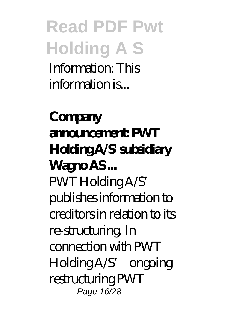**Read PDF Pwt Holding A S** Information: This information is...

**Company announcement: PWT Holding A/S' subsidiary Wagno AS ...** PWT Holding A/S' publishes information to creditors in relation to its re-structuring. In connection with PWT Holding A/S' ongoing restructuring PWT Page 16/28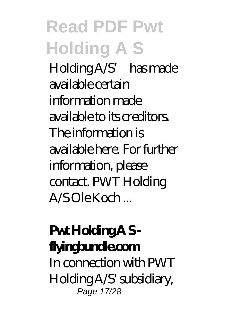Holding A/S' has made available certain information made available to its creditors. The information is available here. For further information, please contact. PWT Holding A/S Ole Koch ...

#### **Pwt Holding A S flyingbundle.com** In connection with PWT Holding A/S' subsidiary, Page 17/28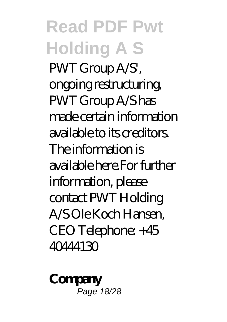#### **Read PDF Pwt Holding A S** PWT Group A/S', ongoing restructuring, PWT Group A/S has made certain information available to its creditors. The information is available here.For further information, please contact PWT Holding A/S Ole Koch Hansen, CEO Telephone: +45 40444130

**Company** Page 18/28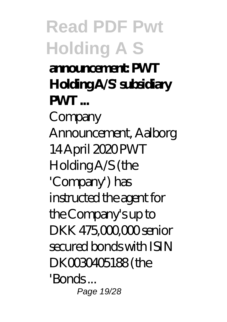**Read PDF Pwt Holding A S announcement: PWT Holding A/S' subsidiary PWT** Company Announcement, Aalborg 14 April 2020 PWT Holding A/S (the 'Company') has instructed the agent for the Company's up to DKK 475,000,000 senior secured bonds with ISIN DK0030405188 (the 'Bonds ... Page 19/28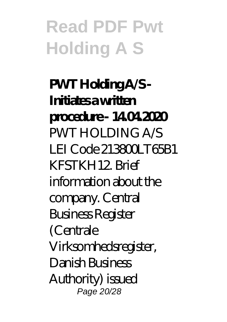**PWT Holding A/S - Initiates a written procedure - 14.04.2020** PWT HOLDING A/S LEI Code 213800LT65B1 KFSTKH12. Brief information about the company. Central Business Register (Centrale Virksomhedsregister, Danish Business Authority) issued Page 20/28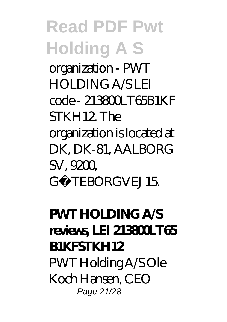organization - PWT HOLDING A/S LEI code - 213800LT65B1KF STKH12. The

organization is located at DK, DK-81, AALBORG SV, 9200, GØTEBORGVEJ 15.

#### **PWT HOLDING A/S reviews, LEI 213800LT65 B1KFSTKH12** PWT Holding A/S Ole Koch Hansen, CEO Page 21/28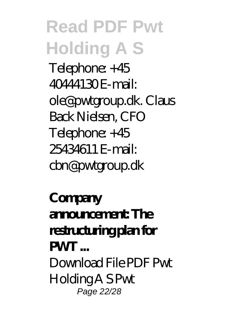**Read PDF Pwt Holding A S** Telephone: +45 40444130 E-mail: ole@pwtgroup.dk. Claus Back Nielsen, CFO Telephone: +45 25434611 E-mail: cbn@pwtgroup.dk

**Company announcement: The restructuring plan for PWT ...** Download File PDF Pwt Holding A S Pwt Page 22/28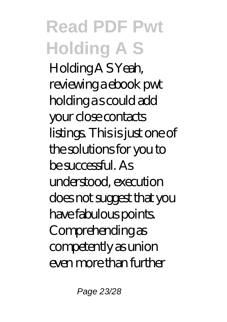#### **Read PDF Pwt Holding A S** Holding A S Yeah, reviewing a ebook pwt holding a s could add your close contacts listings. This is just one of the solutions for you to be successful. As understood, execution does not suggest that you have fabulous points. Comprehending as competently as union even more than further

Page 23/28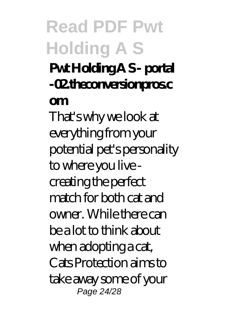#### **Pwt Holding A S - portal -02.theconversionpros.c**

#### **om**

That's why we look at everything from your potential pet's personality to where you live creating the perfect match for both cat and owner. While there can be a lot to think about when adopting a cat, Cats Protection aims to take away some of your Page 24/28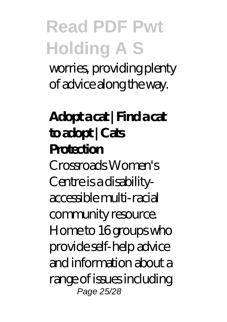worries, providing plenty of advice along the way.

**Adopt a cat | Find a cat to adopt | Cats Protection** Crossroads Women's Centre is a disabilityaccessible multi-racial community resource. Home to 16 groups who provide self-help advice and information about a range of issues including Page 25/28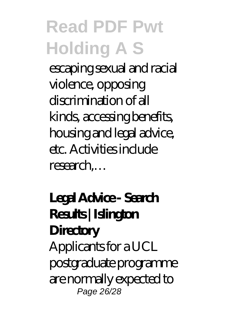escaping sexual and racial violence, opposing discrimination of all kinds, accessing benefits, housing and legal advice, etc. Activities include research,…

#### **Legal Advice - Search Results | Islington Directory** Applicants for a UCL postgraduate programme are normally expected to Page 26/28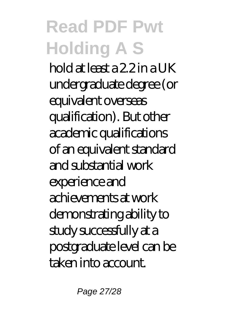hold at least a 2.2 in a UK undergraduate degree (or equivalent overseas qualification). But other academic qualifications of an equivalent standard and substantial work experience and achievements at work demonstrating ability to study successfully at a postgraduate level can be taken into account.